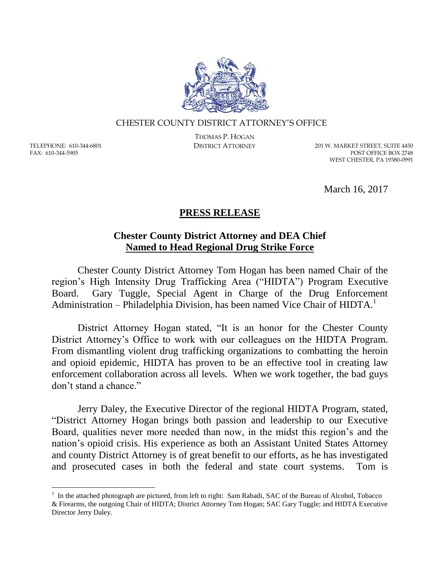

## CHESTER COUNTY DISTRICT ATTORNEY'S OFFICE

TELEPHONE: 610-344-6801 FAX: 610-344-5905

 $\overline{a}$ 

THOMAS P. HOGAN

DISTRICT ATTORNEY 201 W. MARKET STREET, SUITE 4450 POST OFFICE BOX 2748 WEST CHESTER, PA 19380-0991

March 16, 2017

## **PRESS RELEASE**

## **Chester County District Attorney and DEA Chief Named to Head Regional Drug Strike Force**

Chester County District Attorney Tom Hogan has been named Chair of the region's High Intensity Drug Trafficking Area ("HIDTA") Program Executive Board. Gary Tuggle, Special Agent in Charge of the Drug Enforcement Administration – Philadelphia Division, has been named Vice Chair of  $HIDTA<sup>1</sup>$ 

District Attorney Hogan stated, "It is an honor for the Chester County District Attorney's Office to work with our colleagues on the HIDTA Program. From dismantling violent drug trafficking organizations to combatting the heroin and opioid epidemic, HIDTA has proven to be an effective tool in creating law enforcement collaboration across all levels. When we work together, the bad guys don't stand a chance."

Jerry Daley, the Executive Director of the regional HIDTA Program, stated, "District Attorney Hogan brings both passion and leadership to our Executive Board, qualities never more needed than now, in the midst this region's and the nation's opioid crisis. His experience as both an Assistant United States Attorney and county District Attorney is of great benefit to our efforts, as he has investigated and prosecuted cases in both the federal and state court systems. Tom is

<sup>&</sup>lt;sup>1</sup> In the attached photograph are pictured, from left to right: Sam Rabadi, SAC of the Bureau of Alcohol, Tobacco & Firearms, the outgoing Chair of HIDTA; District Attorney Tom Hogan; SAC Gary Tuggle; and HIDTA Executive Director Jerry Daley.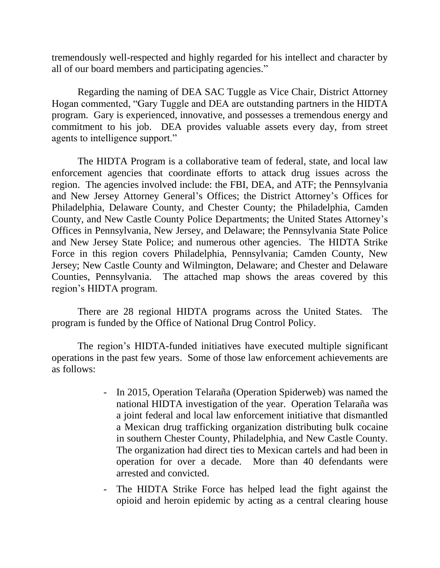tremendously well-respected and highly regarded for his intellect and character by all of our board members and participating agencies."

Regarding the naming of DEA SAC Tuggle as Vice Chair, District Attorney Hogan commented, "Gary Tuggle and DEA are outstanding partners in the HIDTA program. Gary is experienced, innovative, and possesses a tremendous energy and commitment to his job. DEA provides valuable assets every day, from street agents to intelligence support."

The HIDTA Program is a collaborative team of federal, state, and local law enforcement agencies that coordinate efforts to attack drug issues across the region. The agencies involved include: the FBI, DEA, and ATF; the Pennsylvania and New Jersey Attorney General's Offices; the District Attorney's Offices for Philadelphia, Delaware County, and Chester County; the Philadelphia, Camden County, and New Castle County Police Departments; the United States Attorney's Offices in Pennsylvania, New Jersey, and Delaware; the Pennsylvania State Police and New Jersey State Police; and numerous other agencies. The HIDTA Strike Force in this region covers Philadelphia, Pennsylvania; Camden County, New Jersey; New Castle County and Wilmington, Delaware; and Chester and Delaware Counties, Pennsylvania. The attached map shows the areas covered by this region's HIDTA program.

There are 28 regional HIDTA programs across the United States. The program is funded by the Office of National Drug Control Policy.

The region's HIDTA-funded initiatives have executed multiple significant operations in the past few years. Some of those law enforcement achievements are as follows:

- In 2015, Operation Telaraña (Operation Spiderweb) was named the national HIDTA investigation of the year. Operation Telaraña was a joint federal and local law enforcement initiative that dismantled a Mexican drug trafficking organization distributing bulk cocaine in southern Chester County, Philadelphia, and New Castle County. The organization had direct ties to Mexican cartels and had been in operation for over a decade. More than 40 defendants were arrested and convicted.
- The HIDTA Strike Force has helped lead the fight against the opioid and heroin epidemic by acting as a central clearing house